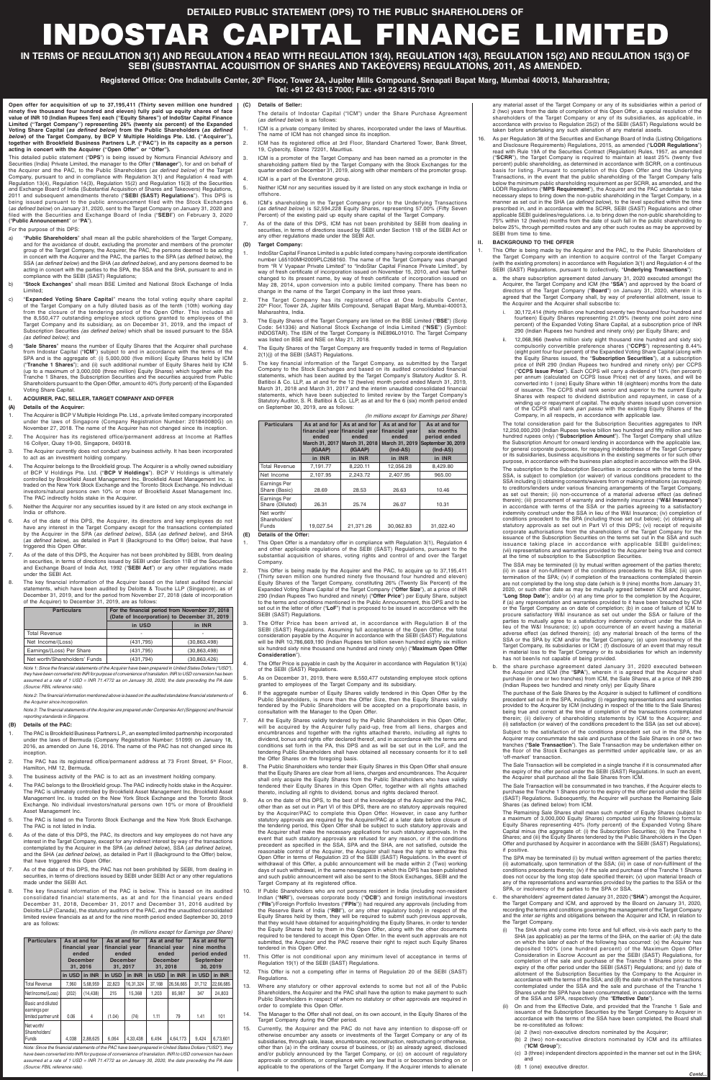**Open offer for acquisition of up to 37,195,411 (Thirty seven million one hundred ninety five thousand four hundred and eleven) fully paid up equity shares of face value of INR 10 (Indian Rupees Ten) each ("Equity Shares") of IndoStar Capital Finance Limited ("Target Company") representing 26% (twenty six percent) of the Expanded Voting Share Capital (as defined below) from the Public Shareholders (as defined below) of the Target Company, by BCP V Multiple Holdings Pte. Ltd. ("Acquirer"), together with Brookfield Business Partners L.P. ("PAC") in its capacity as a person acting in concert with the Acquirer ("Open Offer" or "Offer").**

This detailed public statement ("**DPS**") is being issued by Nomura Financial Advisory and Securities (India) Private Limited, the manager to the Offer ("**Manager**"), for and on behalf of the Acquirer and the PAC, to the Public Shareholders (as defined below) of the Target Company, pursuant to and in compliance with Regulation 3(1) and Regulation 4 read with Regulation 13(4), Regulation 14(3), Regulation 15(2) and Regulation 15(3) of the Securities and Exchange Board of India (Substantial Acquisition of Shares and Takeovers) Regulations, 2011 and subsequent amendments thereto ("**SEBI (SAST) Regulations**"). This DPS is being issued pursuant to the public announcement filed with the Stock Exchanges (as defined below) on January 31, 2020, sent to the Target Company on January 31, 2020 and filed with the Securities and Exchange Board of India ("**SEBI**") on February 3, 2020 ("**Public Announcement**" or "**PA**").

#### For the purpose of this DPS:

- a) "**Public Shareholders**" shall mean all the public shareholders of the Target Company, and for the avoidance of doubt, excluding the promoter and members of the promoter group of the Target Company, the Acquirer, the PAC, the persons deemed to be acting in concert with the Acquirer and the PAC, the parties to the SPA (*as defined below*), the SSA (as defined below) and the SHA (as defined below), and any persons deemed to be acting in concert with the parties to the SPA, the SSA and the SHA, pursuant to and in compliance with the SEBI (SAST) Regulations;
- b) "**Stock Exchanges**" shall mean BSE Limited and National Stock Exchange of India Limited;
- c) "**Expanded Voting Share Capital**" means the total voting equity share capital of the Target Company on a fully diluted basis as of the tenth (10th) working day from the closure of the tendering period of the Open Offer. This includes all the 8,550,477 outstanding employee stock options granted to employees of the Target Company and its subsidiary, as on December 31, 2019, and the impact of Subscription Securities (as defined below) which shall be issued pursuant to the SSA (as defined below); and
- d) "**Sale Shares**" means the number of Equity Shares that the Acquirer shall purchase from Indostar Capital ("**ICM**") subject to and in accordance with the terms of the SPA and is the aggregate of: (i) 5,000,000 (five million) Equity Shares held by ICM ("**Tranche 1 Shares**"); and (ii) such additional number of Equity Shares held by ICM (up to a maximum of 3,000,000 (three million) Equity Shares) which together with the Tranche 1 Shares, the Subscription Securities and the securities acquired from Public Shareholders pursuant to the Open Offer, amount to 40% (forty percent) of the Expanded Voting Share Capital.

# **I. ACQUIRER, PAC, SELLER, TARGET COMPANY AND OFFER**

### **(A) Details of the Acquirer:**

- 1. The Acquirer is BCP V Multiple Holdings Pte. Ltd., a private limited company incorporated under the laws of Singapore (Company Registration Number: 201840080G) on November 27, 2018. The name of the Acquirer has not changed since its inception.
- 2. The Acquirer has its registered office/permanent address at Income at Raffles 16 Collyer, Quay 19-00, Singapore, 049318.
- 3. The Acquirer currently does not conduct any business activity. It has been incorporated to act as an investment holding company.
- 4. The Acquirer belongs to the Brookfield group. The Acquirer is a wholly owned subsidiary of BCP V Holdings Pte. Ltd. ("**BCP V Holdings**"). BCP V Holdings is ultimately controlled by Brookfield Asset Management Inc. Brookfield Asset Management Inc. is traded on the New York Stock Exchange and the Toronto Stock Exchange. No individual investors/natural persons own 10% or more of Brookfield Asset Management Inc. The PAC indirectly holds stake in the Acquirer.
- 5. Neither the Acquirer nor any securities issued by it are listed on any stock exchange in India or offshore.
- 6. As of the date of this DPS, the Acquirer, its directors and key employees do not have any interest in the Target Company except for the transactions contemplated by the Acquirer in the SPA (as defined below), SSA (as defined below), and SHA (as defined below), as detailed in Part II (Background to the Offer) below, that have triggered this Open Offer.
- As of the date of this DPS, the Acquirer has not been prohibited by SEBI, from dealing in securities, in terms of directions issued by SEBI under Section 11B of the Securities and Exchange Board of India Act, 1992 ("**SEBI Act**") or any other regulations made under the SEBI Act.
- The key financial information of the Acquirer based on the latest audited financial statements, which have been audited by Deloitte & Touche LLP (Singapore), as of December 31, 2019, and for the period from November 27, 2018 (date of incorporation of the Acquirer) to December 31, 2019, are as follows:

| <b>Particulars</b>            | For the financial period from November 27, 2018<br>(Date of Incorporation) to December 31, 2019 |                |  |
|-------------------------------|-------------------------------------------------------------------------------------------------|----------------|--|
|                               | in USD                                                                                          | in INR         |  |
| <b>Total Revenue</b>          |                                                                                                 | ۰              |  |
| Net Income/(Loss)             | (431, 795)                                                                                      | (30, 863, 498) |  |
| Earnings/(Loss) Per Share     | (431, 795)                                                                                      | (30, 863, 498) |  |
| Net worth/Shareholders' Funds | (431, 794)                                                                                      | (30, 863, 426) |  |

Note 1: Since the financial statements of the Acquirer have been prepared in United States Dollars ("USD"), they have been converted into INR for purpose of convenience of translation. INR to USD conversion has been assumed at a rate of 1 USD = INR 71.4772 as on January 30, 2020, the date preceding the PA date

Note 2: The financial information mentioned above is based on the audited standalone financial statements of the Acquirer since incorporation.

Note 3: The financial statements of the Acquirer are prepared under Companies Act (Singapore) and financial reporting standards in Singapore.

## **(B) Details of the PAC:**

- 1. This Open Offer is a mandatory offer in compliance with Regulation 3(1), Regulation 4 and other applicable regulations of the SEBI (SAST) Regulations, pursuant to the substantial acquisition of shares, voting rights and control of and over the Target Company.
- 2. This Offer is being made by the Acquirer and the PAC, to acquire up to 37,195,411 (Thirty seven million one hundred ninety five thousand four hundred and eleven) Equity Shares of the Target Company, constituting 26% (Twenty Six Percent) of the Expanded Voting Share Capital of the Target Company ("**Offer Size**"), at a price of INR 290 (Indian Rupees Two hundred and ninety) ("**Offer Price**") per Equity Share, subject to the terms and conditions mentioned in the Public Announcement, this DPS and to be set out in the letter of offer ("**LoF**") that is proposed to be issued in accordance with the SEBI (SAST) Regulations
- 3. The Offer Price has been arrived at, in accordance with Regulation 8 of the SEBI (SAST) Regulations. Assuming full acceptance of the Open Offer, the total consideration payable by the Acquirer in accordance with the SEBI (SAST) Regulations will be INR 10,786,669,190 (Indian Rupees ten billion seven hundred eighty six million six hundred sixty nine thousand one hundred and ninety only) ("**Maximum Open Offer Consideration**").
- 4. The Offer Price is payable in cash by the Acquirer in accordance with Regulation 9(1)(a) of the SEBI (SAST) Regulations.
- 5. As on December 31, 2019, there were 8,550,477 outstanding employee stock options I to employees of the Target

- 1. The PAC is Brookfield Business Partners L.P., an exempted limited partnership incorporated under the laws of Bermuda (Company Registration Number: 51099) on January 18, 2016, as amended on June 16, 2016. The name of the PAC has not changed since its inception
- 2. The PAC has its registered office/permanent address at 73 Front Street, 5<sup>th</sup> Floor, Hamilton, HM 12, Bermuda.
- 3. The business activity of the PAC is to act as an investment holding company.
- 4. The PAC belongs to the Brookfield group. The PAC indirectly holds stake in the Acquirer. The PAC is ultimately controlled by Brookfield Asset Management Inc. Brookfield Asset Management Inc. is traded on the New York Stock Exchange and the Toronto Stock Exchange. No individual investors/natural persons own 10% or more of Brookfield Asset Management Inc.
- 5. The PAC is listed on the Toronto Stock Exchange and the New York Stock Exchange. The PAC is not listed in India.
- 6. As of the date of this DPS, the PAC, its directors and key employees do not have any interest in the Target Company, except for any indirect interest by way of the transactions contemplated by the Acquirer in the SPA (as defined below), SSA (as defined below), and the SHA (as defined below), as detailed in Part II (Background to the Offer) below, that have triggered this Open Offer.
- 7. As of the date of this DPS, the PAC has not been prohibited by SEBI, from dealing in securities, in terms of directions issued by SEBI under SEBI Act or any other regulations made under the SEBI Act.
- 8. The key financial information of the PAC is below. This is based on its audited consolidated financial statements, as at and for the financial years ended December 31, 2018, December 31, 2017 and December 31, 2016 audited by Deloitte LLP (Canada), the statutory auditors of the PAC, and the unaudited consolidated limited review financials as at and for the nine month period ended September 30, 2019 are as follows:

(In millions except for Earnings per Share)

| <b>Particulars</b>                                        | As at and for<br>financial year<br>ended<br><b>December</b><br>31, 2016 |           | As at and for<br>financial year<br>ended<br><b>December</b><br>31, 2017 |           | As at and for<br>financial year<br>ended<br><b>December</b><br>31, 2018 |           | As at and for<br>nine months<br>period ended<br><b>September</b> | 30, 2019  |
|-----------------------------------------------------------|-------------------------------------------------------------------------|-----------|-------------------------------------------------------------------------|-----------|-------------------------------------------------------------------------|-----------|------------------------------------------------------------------|-----------|
|                                                           | in USD                                                                  | in INR    | in USD                                                                  | in INR    | in USD                                                                  | in INR    | in USD                                                           | in INR    |
| <b>Total Revenue</b>                                      | 7.960                                                                   | 5,68,959  | 22.823                                                                  | 16.31.324 | 37.168                                                                  | 26,56,665 | 31.712                                                           | 22,66,685 |
| Net Income/(Loss)                                         | (202)                                                                   | (14, 438) | 215                                                                     | 15.368    | 1.203                                                                   | 85.987    | 347                                                              | 24.803    |
| Basic and diluted<br>earnings per<br>limited partner unit | 0.06                                                                    | 4         | (1.04)                                                                  | (74)      | 1.11                                                                    | 79        | 1.41                                                             | 101       |
| Net worth/<br>Shareholders'<br>Funds                      | 4.038                                                                   | 2.88.625  | 6.064                                                                   | 4.33.438  | 6.494                                                                   | 4.64.173  | 9.424                                                            | 6,73,601  |

Note: Since the financial statements of the PAC have been prepared in United States Dollars ("USD"), they have been converted into INR for purpose of convenience of translation. INR to USD conversion has been assumed at a rate of 1 USD = INR 71.4772 as on January 30, 2020, the date preceding the PA date (Source: FBIL reference rate).

# **(C) Details of Seller:**

any material asset of the Target Company or any of its subsidiaries within a period of 2 (two) years from the date of completion of this Open Offer, a special resolution of the shareholders of the Target Company or any of its subsidiaries, as applicable, in accordance with proviso to Regulation 25(2) of the SEBI (SAST) Regulations would be taken before undertaking any such alienation of any material assets

- The details of Indostar Capital ("ICM") under the Share Purchase Agreement (as defined below) is as follows:
- 1. ICM is a private company limited by shares, incorporated under the laws of Mauritius. The name of ICM has not changed since its inception.
- 2. ICM has its registered office at 3rd Floor, Standard Chartered Tower, Bank Street, 19, Cybercity, Ebene 72201, Mauritius.
- 3. ICM is a promoter of the Target Company and has been named as a promoter in the shareholding pattern filed by the Target Company with the Stock Exchanges for the quarter ended on December 31, 2019, along with other members of the promoter group.
- 4. ICM is a part of the Everstone group.
- 5. Neither ICM nor any securities issued by it are listed on any stock exchange in India or offshore.
- 6. ICM's shareholding in the Target Company prior to the Underlying Transactions (as defined below) is 52,594,228 Equity Shares, representing 57.00% (Fifty Seven Percent) of the existing paid up equity share capital of the Target Company.
- 7. As of the date of this DPS, ICM has not been prohibited by SEBI from dealing in securities, in terms of directions issued by SEBI under Section 11B of the SEBI Act or any other regulations made under the SEBI Act.

### **(D) Target Company:**

- This Offer is being made by the Acquirer and the PAC, to the Public Shareholders of the Target Company with an intention to acquire control of the Target Company (with the existing promoters) in accordance with Regulation 3(1) and Regulation 4 of the SEBI (SAST) Regulations, pursuant to (collectively, "**Underlying Transactions**"):
- a. the share subscription agreement dated January 31, 2020 executed amongst the Acquirer, the Target Company and ICM (the "**SSA**") and approved by the board of directors of the Target Company ("**Board**") on January 31, 2020, wherein it is agreed that the Target Company shall, by way of preferential allotment, issue to the Acquirer and the Acquirer shall subscribe to:
	- i. 30,172,414 (thirty million one hundred seventy two thousand four hundred and fourteen) Equity Shares representing 21.09% (twenty one point zero nine percent) of the Expanded Voting Share Capital, at a subscription price of INR 290 (Indian Rupees two hundred and ninety only) per Equity Share; and
	- ii. 12,068,966 (twelve million sixty eight thousand nine hundred and sixty six) compulsorily convertible preference shares ("**CCPS**") representing 8.44% (eight point four four percent) of the Expanded Voting Share Capital (along with the Equity Shares issued, the "**Subscription Securities**"), at a subscription price of INR 290 (Indian Rupees two hundred and ninety only) per CCPS ("**CCPS Issue Price**"). Each CCPS will carry a dividend of 10% (ten percent) per annum (calculated on CCPS Issue Price) net of any taxes, and will be converted into 1 (one) Equity Share within 18 (eighteen) months from the date of issuance. The CCPS shall rank senior and superior to the current Equity Shares with respect to dividend distribution and repayment, in case of a winding up or repayment of capital. The equity shares issued upon conversion of the CCPS shall rank pari passu with the existing Equity Shares of the Company, in all respects, in accordance with applicable law.
- 1. IndoStar Capital Finance Limited is a public listed company having corporate identification number L65100MH2009PLC268160. The name of the Target Company was changed from "R V Vyapaar Private Limited" to "IndoStar Capital Finance Private Limited", by way of fresh certificate of incorporation issued on November 15, 2010, and was further changed to its present name, by way of fresh certificate of incorporation issued on May 28, 2014, upon conversion into a public limited company. There has been no change in the name of the Target Company in the last three years.
- 2. The Target Company has its registered office at One Indiabulls Center, 20<sup>th</sup> Floor, Tower 2A, Jupiter Mills Compound, Senapati Bapat Marg, Mumbai-400013, Maharashtra, India.
- 3. The Equity Shares of the Target Company are listed on the BSE Limited ("**BSE**") (Scrip Code: 541336) and National Stock Exchange of India Limited ("**NSE**") (Symbol: INDOSTAR). The ISIN of the Target Company is INE896L01010. The Target Company was listed on BSE and NSE on May 21, 2018.
- 4. The Equity Shares of the Target Company are frequently traded in terms of Regulation 2(1)(j) of the SEBI (SAST) Regulations.
- The key financial information of the Target Company, as submitted by the Target Company to the Stock Exchanges and based on its audited consolidated financial statements, which has been audited by the Target Company's Statutory Auditor S. R. Batliboi & Co. LLP, as at and for the 12 (twelve) month period ended March 31, 2019, March 31, 2018 and March 31, 2017 and the interim unaudited consolidated financial statements, which have been subjected to limited review by the Target Company's Statutory Auditor, S. R. Batliboi & Co. LLP, as at and for the 6 (six) month period ended on September 30, 2019, are as follows:

(In millions except for Earnings per Share)

rce: FBIL reference rate).

| <b>Particulars</b>                   | As at and for<br>financial year financial year<br>ended<br>March 31, 2017<br>(IGAAP) | As at and for<br>ended<br>March 31, 2018<br>(IGAAP) | As at and for<br>financial year<br>ended<br>March 31, 2019<br>$(Ind-AS)$ | As at and for<br>six months<br>period ended<br>September 30, 2019<br>$(Ind-AS)$ |
|--------------------------------------|--------------------------------------------------------------------------------------|-----------------------------------------------------|--------------------------------------------------------------------------|---------------------------------------------------------------------------------|
|                                      | in INR                                                                               | in INR                                              | in INR                                                                   | in INR                                                                          |
| <b>Total Revenue</b>                 | 7.191.77                                                                             | 8.220.11                                            | 12,056.28                                                                | 8.429.80                                                                        |
| Net Income                           | 2.107.95                                                                             | 2,243.72                                            | 2.407.95                                                                 | 965.00                                                                          |
| Earnings Per<br>Share (Basic)        | 28.69                                                                                | 28.53                                               | 26.63                                                                    | 10.46                                                                           |
| Earnings Per<br>Share (Diluted)      | 26.31                                                                                | 25.74                                               | 26.07                                                                    | 10.31                                                                           |
| Net worth/<br>Shareholders'<br>Funds | 19.027.54                                                                            | 21.371.26                                           | 30,062.83                                                                | 31,022.40                                                                       |

b. the share purchase agreement dated January 31, 2020 executed between the Acquirer and ICM (the "**SPA**"), wherein it is agreed that the Acquirer shall purchase (in one or two tranches) from ICM, the Sale Shares, at a price of INR 290 hdian Rupees two hundred and ninety only) per Equity Share

#### **(E) Details of the Offer:**

- 6. If the aggregate number of Equity Shares validly tendered in this Open Offer by the Public Shareholders, is more than the Offer Size, then the Equity Shares validly tendered by the Public Shareholders will be accepted on a proportionate basis, in consultation with the Manager to the Open Offer.
- 7. All the Equity Shares validly tendered by the Public Shareholders in this Open Offer, will be acquired by the Acquirer fully paid-up, free from all liens, charges and encumbrances and together with the rights attached thereto, including all rights to dividend, bonus and rights offer declared thereof, and in accordance with the terms and conditions set forth in the PA, this DPS and as will be set out in the LoF, and the tendering Public Shareholders shall have obtained all necessary consents for it to sell the Offer Shares on the foregoing basis.
- 8. The Public Shareholders who tender their Equity Shares in this Open Offer shall ensure that the Equity Shares are clear from all liens, charges and encumbrances. The Acquirer shall only acquire the Equity Shares from the Public Shareholders who have validly tendered their Equity Shares in this Open Offer, together with all rights attached thereto, including all rights to dividend, bonus and rights declared thereof.
- 9. As on the date of this DPS, to the best of the knowledge of the Acquirer and the PAC, other than as set out in Part VI of this DPS, there are no statutory approvals required by the Acquirer/PAC to complete this Open Offer. However, in case any further statutory approvals are required by the Acquirer/PAC at a later date before closure of the tendering period, this Open Offer shall be subject to such statutory approvals and the Acquirer shall make the necessary applications for such statutory approvals. In the event that such statutory approvals are refused for any reason, or if the conditions precedent as specified in the SSA, SPA and the SHA, are not satisfied, outside the reasonable control of the Acquirer, the Acquirer shall have the right to withdraw this Open Offer in terms of Regulation 23 of the SEBI (SAST) Regulations. In the event of withdrawal of this Offer, a public announcement will be made within 2 (Two) working days of such withdrawal, in the same newspapers in which this DPS has been published and such public announcement will also be sent to the Stock Exchanges, SEBI and the Target Company at its registered office.
- 10. If Public Shareholders who are not persons resident in India (including non-resident Indian ("**NRI**"), overseas corporate body ("**OCB**") and foreign institutional investors ("**FIIs**")/Foreign Portfolio Investors ("**FPIs**")) had required any approvals (including from the Reserve Bank of India ("**RBI**"), or any other regulatory body) in respect of the Equity Shares held by them, they will be required to submit such previous approvals, that they would have obtained for acquiring/holding the Equity Shares, in order to tender the Equity Shares held by them in this Open Offer, along with the other documents required to be tendered to accept this Open Offer. In the event such approvals are not submitted, the Acquirer and the PAC reserve their right to reject such Equity Shares tendered in this Open Offer.
- 11. This Offer is not conditional upon any minimum level of acceptance in terms of Regulation 19(1) of the SEBI (SAST) Regulations.
- 12. This Offer is not a competing offer in terms of Regulation 20 of the SEBI (SAST) **Regulations**
- 13. Where any statutory or other approval extends to some but not all of the Public Shareholders, the Acquirer and the PAC shall have the option to make payment to such Public Shareholders in respect of whom no statutory or other approvals are required in order to complete this Open Offer.
- 14. The Manager to the Offer shall not deal, on its own account, in the Equity Shares of the Target Company during the Offer period.
- 15. Currently, the Acquirer and the PAC do not have any intention to dispose-off or otherwise encumber any assets or investments of the Target Company or any of its subsidiaries, through sale, lease, encumbrance, reconstruction, restructuring or otherwise, other than (a) in the ordinary course of business, or (b) as already agreed, disclosed and/or publicly announced by the Target Company, or (c) on account of regulatory approvals or conditions, or compliance with any law that is or becomes binding on or applicable to the operations of the Target Company. If the Acquirer intends to alienate

16. As per Regulation 38 of the Securities and Exchange Board of India (Listing Obligations and Disclosure Requirements) Regulations, 2015, as amended ("**LODR Regulations**") read with Rule 19A of the Securities Contract (Regulation) Rules, 1957, as amended ("**SCRR**"), the Target Company is required to maintain at least 25% (twenty five percent) public shareholding, as determined in accordance with SCRR, on a continuous basis for listing. Pursuant to completion of this Open Offer and the Underlying Transactions, in the event that the public shareholding of the Target Company falls below the minimum public shareholding requirement as per SCRR, as amended, and the LODR Regulations ("**MPS Requirement**"), the Acquirer and the PAC undertake to take necessary steps to bring down the non-public shareholding in the Target Company, in a manner as set out in the SHA (as defined below), to the level specified within the time prescribed in, and in accordance with the SCRR, SEBI (SAST) Regulations and other applicable SEBI guidelines/regulations. i.e. to bring down the non-public shareholding to 75% within 12 (twelve) months from the date of such fall in the public shareholding to below 25%, through permitted routes and any other such routes as may be approved by SEBI from time to time.

#### **II. BACKGROUND TO THE OFFER**

The total consideration paid for the Subscription Securities aggregates to INR 12,250,000,200 (Indian Rupees twelve billion two hundred and fifty million and two hundred rupees only) ("**Subscription Amount**"). The Target Company shall utilize the Subscription Amount for onward lending in accordance with the applicable law, for general corporate purposes, for repaying indebtedness of the Target Company or its subsidiaries, business acquisitions in the existing segments or for such other purpose, in accordance with the business plan adopted in accordance with the SHA. The subscription to the Subscription Securities in accordance with the terms of the SSA, is subject to completion (or waiver) of various conditions precedent to the SSA including (i) obtaining consents/waivers from or making intimations (as required) to creditors/lenders under various financing arrangements of the Target Company, as set out therein; (ii) non-occurrence of a material adverse effect (as defined therein); (iii) procurement of warranty and indemnity insurance ("**W&I Insurance**") in accordance with terms of the SSA or the parties agreeing to a satisfactory indemnity construct under the SSA in lieu of the W&I Insurance; (iv) completion of conditions precedent to the SPA (including those set out below); (v) obtaining all statutory approvals as set out in Part VI of this DPS; (vi) receipt of requisite corporate authorisations from the shareholders of the Target Company for the issuance of the Subscription Securities on the terms set out in the SSA and such issuance taking place in accordance with applicable SEBI guidelines; (vii) representations and warranties provided to the Acquirer being true and correct at the time of subscription to the Subscription Securities.

The SSA may be terminated (i) by mutual written agreement of the parties thereto; (ii) in case of non-fulfilment of the conditions precedents to the SSA; (iii) upon termination of the SPA; (iv) if completion of the transactions contemplated therein are not completed by the long stop date (which is 9 (nine) months from January 31, 2020, or such other date as may be mutually agreed between ICM and Acquirer, "**Long Stop Date**"); and/or (v) at any time prior to the completion by the Acquirer, if (a) any representation and warranties provided to it have been breached by ICM or the Target Company as on date of completion; (b) in case of failure of ICM to procure satisfactory W&I insurance as set out under the SSA or failure of the parties to mutually agree to a satisfactory indemnity construct under the SSA in lieu of the W&I Insurance; (c) upon occurrence of an event having a material adverse effect (as defined therein); (d) any material breach of the terms of the SSA or the SPA by ICM and/or the Target Company; (e) upon insolvency of the Target Company, its subsidiaries or ICM ; (f) disclosure of an event that may result in material loss to the Target Company or its subsidiaries for which an indemnity has not been/is not capable of being provided.

The purchase of the Sale Shares by the Acquirer is subject to fulfilment of conditions precedent set out in the SPA, including: (i) regarding representations and warranties provided to the Acquirer by ICM (including in respect of the title to the Sale Shares) being true and correct at the time of completion of the transactions contemplated therein; (ii) delivery of shareholding statements by ICM to the Acquirer; and (ii) satisfaction (or waiver) of the conditions precedent to the SSA (as set out above).

Subject to the satisfaction of the conditions precedent set out in the SPA, the Acquirer may consummate the sale and purchase of the Sale Shares in one or two tranches ("**Sale Transaction**"). The Sale Transaction may be undertaken either on the floor of the Stock Exchanges as permitted under applicable law, or as an 'off-market' transaction.

The Sale Transaction will be completed in a single tranche if it is consummated after the expiry of the offer period under the SEBI (SAST) Regulations. In such an event, the Acquirer shall purchase all the Sale Shares from ICM.

The Sale Transaction will be consummated in two tranches, if the Acquirer elects to purchase the Tranche 1 Shares prior to the expiry of the offer period under the SEBI (SAST) Regulations. Subsequently, the Acquirer will purchase the Remaining Sale Shares (as defined below) from ICM.

The Remaining Sale Shares shall mean such number of Equity Shares (subject to a maximum of 3,000,000 Equity Shares) computed using the following formula: Equity Shares representing 40% (forty percent) of the Expanded Voting Share Capital minus (the aggregate of: (i) the Subscription Securities; (ii) the Tranche 1 Shares; and (iii) the Equity Shares tendered by the Public Shareholders in the Open Offer and purchased by Acquirer in accordance with the SEBI (SAST) Regulations), if positive.

The SPA may be terminated (i) by mutual written agreement of the parties thereto; (ii) automatically, upon termination of the SSA; (iii) in case of non-fulfilment of the conditions precedents thereto; (iv) if the sale and purchase of the Tranche 1 Shares does not occur by the long stop date specified therein; (v) upon material breach of any of the representations and warranties provided by the parties to the SSA or the SPA, or insolvency of the parties to the SPA or SSA.

- c. the shareholders' agreement dated January 31, 2020 ("**SHA**") amongst the Acquirer, the Target Company and ICM, and approved by the Board on January 31, 2020, recording the terms and conditions governing the management of the Target Company and the inter se rights and obligations between the Acquirer and ICM, in relation to the Target Company.
	- (i) The SHA shall only come into force and full effect, vis-à-vis each party to the SHA (as applicable) as per the terms of the SHA, on the earlier of: (A) the date on which the later of each of the following has occurred: (x) the Acquirer has deposited 100% (one hundred percent) of the Maximum Open Offer Consideration in Escrow Account as per the SEBI (SAST) Regulations, for completion of the sale and purchase of the Tranche 1 Shares prior to the expiry of the offer period under the SEBI (SAST) Regulations; and (y) date of allotment of the Subscription Securities by the Company to the Acquirer in accordance with the terms of the SSA; and (B) the date on which the transactions contemplated under the SSA and the sale and purchase of the Tranche 1 Shares under the SPA have been consummated, in accordance with the terms of the SSA and SPA, respectively (the "**Effective Date**").
	- On and from the Effective Date, and provided that the Tranche 1 Sale and issuance of the Subscription Securities by the Target Company to Acquirer in accordance with the terms of the SSA have been completed, the Board shall be re-constituted as follows:
		- (a) 2 (two) non-executive directors nominated by the Acquirer;
		- (b) 2 (two) non-executive directors nominated by ICM and its affiliates ("**ICM Group**");
		- (c) 3 (three) independent directors appointed in the manner set out in the SHA; and
	- (d) 1 (one) executive director.

# **Tel: +91 22 4315 7000; Fax: +91 22 4315 7010**

# INDOSTAR CAPITAL FINANCE LIMITED

**DETAILED PUBLIC STATEMENT (DPS) TO THE PUBLIC SHAREHOLDERS OF**

**IN TERMS OF REGULATION 3(1) AND REGULATION 4 READ WITH REGULATION 13(4), REGULATION 14(3), REGULATION 15(2) AND REGULATION 15(3) OF SEBI (SUBSTANTIAL ACQUISITION OF SHARES AND TAKEOVERS) REGULATIONS, 2011, AS AMENDED.**

Registered Office: One Indiabulls Center, 20<sup>th</sup> Floor, Tower 2A, Jupiter Mills Compound, Senapati Bapat Marg, Mumbai 400013, Maharashtra;